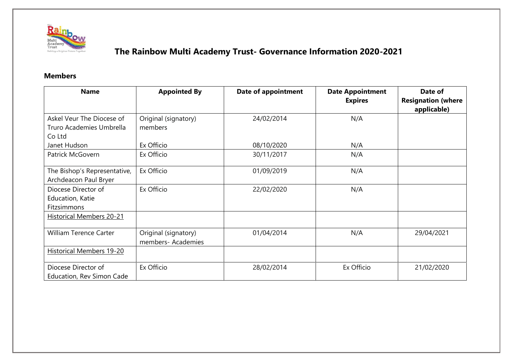

#### **Members**

| <b>Name</b>                                      | <b>Appointed By</b>  | <b>Date of appointment</b> | <b>Date Appointment</b><br><b>Expires</b> | Date of<br><b>Resignation (where</b><br>applicable) |
|--------------------------------------------------|----------------------|----------------------------|-------------------------------------------|-----------------------------------------------------|
| Askel Veur The Diocese of                        | Original (signatory) | 24/02/2014                 | N/A                                       |                                                     |
| Truro Academies Umbrella                         | members              |                            |                                           |                                                     |
| Co Ltd                                           |                      |                            |                                           |                                                     |
| Janet Hudson                                     | Ex Officio           | 08/10/2020                 | N/A                                       |                                                     |
| Patrick McGovern                                 | Ex Officio           | 30/11/2017                 | N/A                                       |                                                     |
| The Bishop's Representative,                     | Ex Officio           | 01/09/2019                 | N/A                                       |                                                     |
| Archdeacon Paul Bryer                            |                      |                            |                                           |                                                     |
| Diocese Director of                              | Ex Officio           | 22/02/2020                 | N/A                                       |                                                     |
| Education, Katie                                 |                      |                            |                                           |                                                     |
| Fitzsimmons                                      |                      |                            |                                           |                                                     |
| <b>Historical Members 20-21</b>                  |                      |                            |                                           |                                                     |
| <b>William Terence Carter</b>                    | Original (signatory) | 01/04/2014                 | N/A                                       | 29/04/2021                                          |
|                                                  | members- Academies   |                            |                                           |                                                     |
| <b>Historical Members 19-20</b>                  |                      |                            |                                           |                                                     |
| Diocese Director of<br>Education, Rev Simon Cade | Ex Officio           | 28/02/2014                 | Ex Officio                                | 21/02/2020                                          |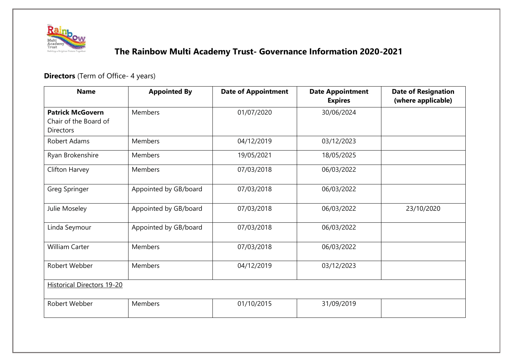

### **Directors** (Term of Office- 4 years)

| <b>Name</b>                                                          | <b>Appointed By</b>   | <b>Date of Appointment</b> | <b>Date Appointment</b><br><b>Expires</b> | <b>Date of Resignation</b><br>(where applicable) |
|----------------------------------------------------------------------|-----------------------|----------------------------|-------------------------------------------|--------------------------------------------------|
| <b>Patrick McGovern</b><br>Chair of the Board of<br><b>Directors</b> | <b>Members</b>        | 01/07/2020                 | 30/06/2024                                |                                                  |
| <b>Robert Adams</b>                                                  | <b>Members</b>        | 04/12/2019                 | 03/12/2023                                |                                                  |
| Ryan Brokenshire                                                     | Members               | 19/05/2021                 | 18/05/2025                                |                                                  |
| Clifton Harvey                                                       | Members               | 07/03/2018                 | 06/03/2022                                |                                                  |
| Greg Springer                                                        | Appointed by GB/board | 07/03/2018                 | 06/03/2022                                |                                                  |
| Julie Moseley                                                        | Appointed by GB/board | 07/03/2018                 | 06/03/2022                                | 23/10/2020                                       |
| Linda Seymour                                                        | Appointed by GB/board | 07/03/2018                 | 06/03/2022                                |                                                  |
| <b>William Carter</b>                                                | Members               | 07/03/2018                 | 06/03/2022                                |                                                  |
| Robert Webber                                                        | Members               | 04/12/2019                 | 03/12/2023                                |                                                  |
| <b>Historical Directors 19-20</b>                                    |                       |                            |                                           |                                                  |
| Robert Webber                                                        | Members               | 01/10/2015                 | 31/09/2019                                |                                                  |
|                                                                      |                       |                            |                                           |                                                  |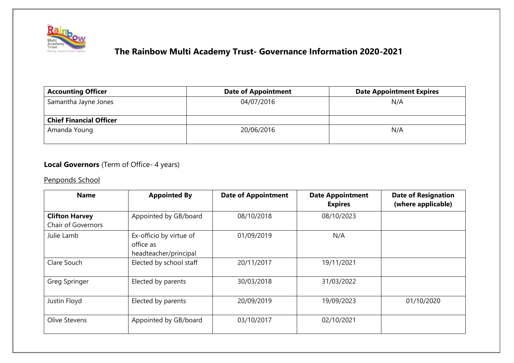

| <b>Accounting Officer</b>      | <b>Date of Appointment</b> | <b>Date Appointment Expires</b> |
|--------------------------------|----------------------------|---------------------------------|
| Samantha Jayne Jones           | 04/07/2016                 | N/A                             |
| <b>Chief Financial Officer</b> |                            |                                 |
| Amanda Young                   | 20/06/2016                 | N/A                             |

#### **Local Governors** (Term of Office- 4 years)

Penponds School

| <b>Name</b>                                 | <b>Appointed By</b>                                           | <b>Date of Appointment</b> | <b>Date Appointment</b><br><b>Expires</b> | <b>Date of Resignation</b><br>(where applicable) |
|---------------------------------------------|---------------------------------------------------------------|----------------------------|-------------------------------------------|--------------------------------------------------|
| <b>Clifton Harvey</b><br>Chair of Governors | Appointed by GB/board                                         | 08/10/2018                 | 08/10/2023                                |                                                  |
| Julie Lamb                                  | Ex-officio by virtue of<br>office as<br>headteacher/principal | 01/09/2019                 | N/A                                       |                                                  |
| Clare Souch                                 | Elected by school staff                                       | 20/11/2017                 | 19/11/2021                                |                                                  |
| Greg Springer                               | Elected by parents                                            | 30/03/2018                 | 31/03/2022                                |                                                  |
| Justin Floyd                                | Elected by parents                                            | 20/09/2019                 | 19/09/2023                                | 01/10/2020                                       |
| Olive Stevens                               | Appointed by GB/board                                         | 03/10/2017                 | 02/10/2021                                |                                                  |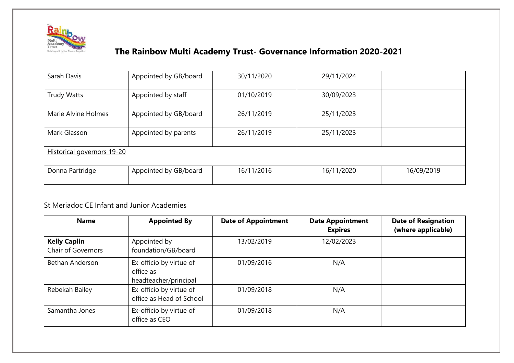

| Sarah Davis                | Appointed by GB/board | 30/11/2020 | 29/11/2024 |            |  |
|----------------------------|-----------------------|------------|------------|------------|--|
| <b>Trudy Watts</b>         | Appointed by staff    | 01/10/2019 | 30/09/2023 |            |  |
| Marie Alvine Holmes        | Appointed by GB/board | 26/11/2019 | 25/11/2023 |            |  |
| Mark Glasson               | Appointed by parents  | 26/11/2019 | 25/11/2023 |            |  |
| Historical governors 19-20 |                       |            |            |            |  |
| Donna Partridge            | Appointed by GB/board | 16/11/2016 | 16/11/2020 | 16/09/2019 |  |

#### St Meriadoc CE Infant and Junior Academies

| <b>Name</b>                                      | <b>Appointed By</b>                                           | <b>Date of Appointment</b> | <b>Date Appointment</b><br><b>Expires</b> | <b>Date of Resignation</b><br>(where applicable) |
|--------------------------------------------------|---------------------------------------------------------------|----------------------------|-------------------------------------------|--------------------------------------------------|
| <b>Kelly Caplin</b><br><b>Chair of Governors</b> | Appointed by<br>foundation/GB/board                           | 13/02/2019                 | 12/02/2023                                |                                                  |
| Bethan Anderson                                  | Ex-officio by virtue of<br>office as<br>headteacher/principal | 01/09/2016                 | N/A                                       |                                                  |
| Rebekah Bailey                                   | Ex-officio by virtue of<br>office as Head of School           | 01/09/2018                 | N/A                                       |                                                  |
| Samantha Jones                                   | Ex-officio by virtue of<br>office as CEO                      | 01/09/2018                 | N/A                                       |                                                  |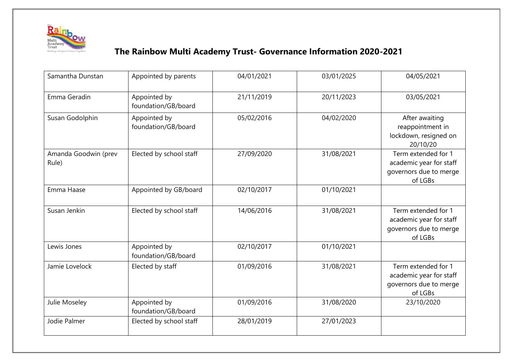

| Samantha Dunstan              | Appointed by parents                | 04/01/2021 | 03/01/2025 | 04/05/2021                                                                          |
|-------------------------------|-------------------------------------|------------|------------|-------------------------------------------------------------------------------------|
| Emma Geradin                  | Appointed by<br>foundation/GB/board | 21/11/2019 | 20/11/2023 | 03/05/2021                                                                          |
| Susan Godolphin               | Appointed by<br>foundation/GB/board | 05/02/2016 | 04/02/2020 | After awaiting<br>reappointment in<br>lockdown, resigned on<br>20/10/20             |
| Amanda Goodwin (prev<br>Rule) | Elected by school staff             | 27/09/2020 | 31/08/2021 | Term extended for 1<br>academic year for staff<br>governors due to merge<br>of LGBs |
| Emma Haase                    | Appointed by GB/board               | 02/10/2017 | 01/10/2021 |                                                                                     |
| Susan Jenkin                  | Elected by school staff             | 14/06/2016 | 31/08/2021 | Term extended for 1<br>academic year for staff<br>governors due to merge<br>of LGBs |
| Lewis Jones                   | Appointed by<br>foundation/GB/board | 02/10/2017 | 01/10/2021 |                                                                                     |
| Jamie Lovelock                | Elected by staff                    | 01/09/2016 | 31/08/2021 | Term extended for 1<br>academic year for staff<br>governors due to merge<br>of LGBs |
| Julie Moseley                 | Appointed by<br>foundation/GB/board | 01/09/2016 | 31/08/2020 | 23/10/2020                                                                          |
| Jodie Palmer                  | Elected by school staff             | 28/01/2019 | 27/01/2023 |                                                                                     |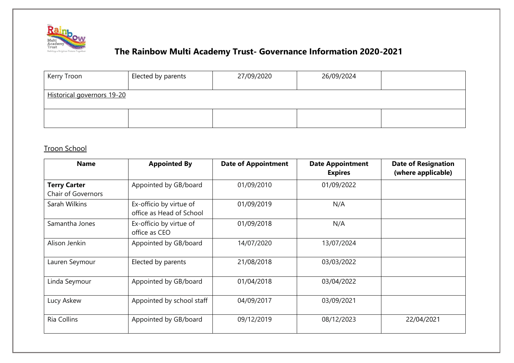

| Kerry Troon                | Elected by parents | 27/09/2020 | 26/09/2024 |  |  |
|----------------------------|--------------------|------------|------------|--|--|
| Historical governors 19-20 |                    |            |            |  |  |
|                            |                    |            |            |  |  |

### Troon School

| <b>Name</b>                                      | <b>Appointed By</b>                                 | <b>Date of Appointment</b> | <b>Date Appointment</b><br><b>Expires</b> | <b>Date of Resignation</b><br>(where applicable) |
|--------------------------------------------------|-----------------------------------------------------|----------------------------|-------------------------------------------|--------------------------------------------------|
| <b>Terry Carter</b><br><b>Chair of Governors</b> | Appointed by GB/board                               | 01/09/2010                 | 01/09/2022                                |                                                  |
| Sarah Wilkins                                    | Ex-officio by virtue of<br>office as Head of School | 01/09/2019                 | N/A                                       |                                                  |
| Samantha Jones                                   | Ex-officio by virtue of<br>office as CEO            | 01/09/2018                 | N/A                                       |                                                  |
| Alison Jenkin                                    | Appointed by GB/board                               | 14/07/2020                 | 13/07/2024                                |                                                  |
| Lauren Seymour                                   | Elected by parents                                  | 21/08/2018                 | 03/03/2022                                |                                                  |
| Linda Seymour                                    | Appointed by GB/board                               | 01/04/2018                 | 03/04/2022                                |                                                  |
| Lucy Askew                                       | Appointed by school staff                           | 04/09/2017                 | 03/09/2021                                |                                                  |
| Ria Collins                                      | Appointed by GB/board                               | 09/12/2019                 | 08/12/2023                                | 22/04/2021                                       |